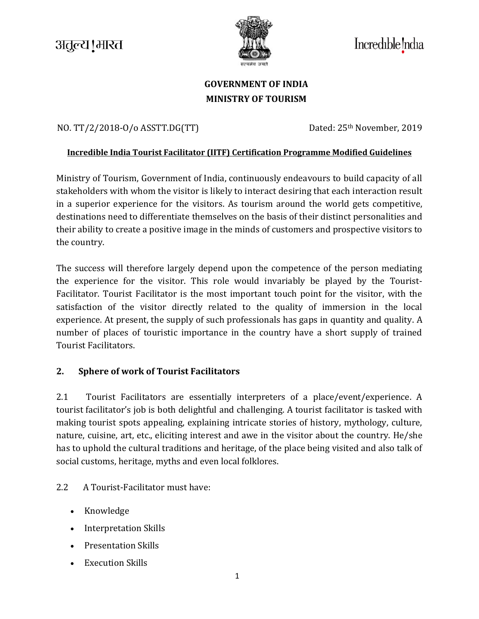# अतुल्य ! भारत



Incredible ndia

## **GOVERNMENT OF INDIA MINISTRY OF TOURISM**

## NO. [TT/2/2018-O/o ASSTT.DG\(TT\)](https://tourism.eoffice.gov.in/eFile/?x=4liWjUYs1xywmzMskMa8M2oNod-cyrER) Dated: 25<sup>th</sup> November, 2019

#### **Incredible India Tourist Facilitator (IITF) Certification Programme Modified Guidelines**

Ministry of Tourism, Government of India, continuously endeavours to build capacity of all stakeholders with whom the visitor is likely to interact desiring that each interaction result in a superior experience for the visitors. As tourism around the world gets competitive, destinations need to differentiate themselves on the basis of their distinct personalities and their ability to create a positive image in the minds of customers and prospective visitors to the country.

The success will therefore largely depend upon the competence of the person mediating the experience for the visitor. This role would invariably be played by the Tourist-Facilitator. Tourist Facilitator is the most important touch point for the visitor, with the satisfaction of the visitor directly related to the quality of immersion in the local experience. At present, the supply of such professionals has gaps in quantity and quality. A number of places of touristic importance in the country have a short supply of trained Tourist Facilitators.

#### **2. Sphere of work of Tourist Facilitators**

2.1 Tourist Facilitators are essentially interpreters of a place/event/experience. A tourist facilitator's job is both delightful and challenging. A tourist facilitator is tasked with making tourist spots appealing, explaining intricate stories of history, mythology, culture, nature, cuisine, art, etc., eliciting interest and awe in the visitor about the country. He/she has to uphold the cultural traditions and heritage, of the place being visited and also talk of social customs, heritage, myths and even local folklores.

#### 2.2 A Tourist-Facilitator must have:

- Knowledge
- Interpretation Skills
- Presentation Skills
- Execution Skills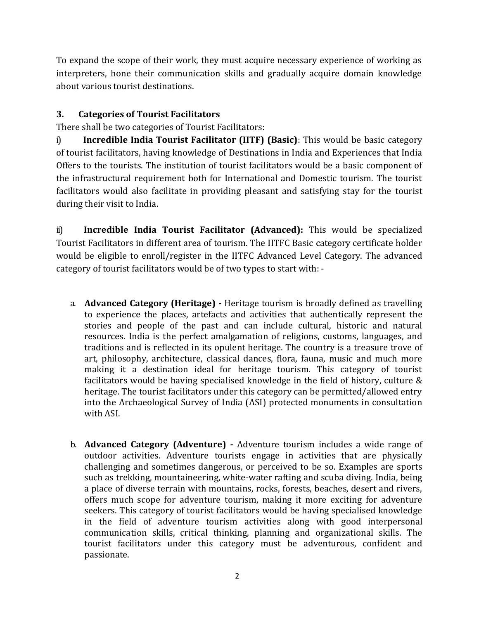To expand the scope of their work, they must acquire necessary experience of working as interpreters, hone their communication skills and gradually acquire domain knowledge about various tourist destinations.

### **3. Categories of Tourist Facilitators**

There shall be two categories of Tourist Facilitators:

i) **Incredible India Tourist Facilitator (IITF) (Basic)**: This would be basic category of tourist facilitators, having knowledge of Destinations in India and Experiences that India Offers to the tourists. The institution of tourist facilitators would be a basic component of the infrastructural requirement both for International and Domestic tourism. The tourist facilitators would also facilitate in providing pleasant and satisfying stay for the tourist during their visit to India.

ii) **Incredible India Tourist Facilitator (Advanced):** This would be specialized Tourist Facilitators in different area of tourism. The IITFC Basic category certificate holder would be eligible to enroll/register in the IITFC Advanced Level Category. The advanced category of tourist facilitators would be of two types to start with: -

- a. **Advanced Category (Heritage) -** Heritage tourism is broadly defined as travelling to experience the places, artefacts and activities that authentically represent the stories and people of the past and can include cultural, historic and natural resources. India is the perfect amalgamation of religions, customs, languages, and traditions and is reflected in its opulent heritage. The country is a treasure trove of art, philosophy, architecture, classical dances, flora, fauna, music and much more making it a destination ideal for heritage tourism. This category of tourist facilitators would be having specialised knowledge in the field of history, culture & heritage. The tourist facilitators under this category can be permitted/allowed entry into the Archaeological Survey of India (ASI) protected monuments in consultation with ASI.
- b. **Advanced Category (Adventure) -** Adventure tourism includes a wide range of outdoor activities. Adventure tourists engage in activities that are physically challenging and sometimes dangerous, or perceived to be so. Examples are sports such as trekking, mountaineering, white-water rafting and scuba diving. India, being a place of diverse terrain with mountains, rocks, forests, beaches, desert and rivers, offers much scope for adventure tourism, making it more exciting for adventure seekers. This category of tourist facilitators would be having specialised knowledge in the field of adventure tourism activities along with good interpersonal communication skills, critical thinking, planning and organizational skills. The tourist facilitators under this category must be adventurous, confident and passionate.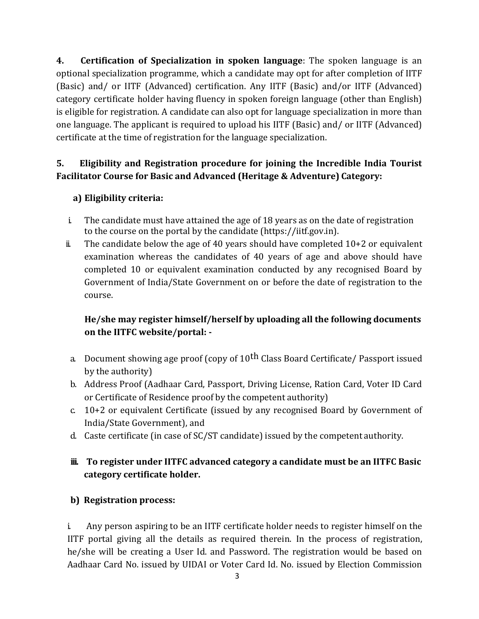**4. Certification of Specialization in spoken language**: The spoken language is an optional specialization programme, which a candidate may opt for after completion of IITF (Basic) and/ or IITF (Advanced) certification. Any IITF (Basic) and/or IITF (Advanced) category certificate holder having fluency in spoken foreign language (other than English) is eligible for registration. A candidate can also opt for language specialization in more than one language. The applicant is required to upload his IITF (Basic) and/ or IITF (Advanced) certificate at the time of registration for the language specialization.

## **5. Eligibility and Registration procedure for joining the Incredible India Tourist Facilitator Course for Basic and Advanced (Heritage & Adventure) Category:**

## **a) Eligibility criteria:**

- i. The candidate must have attained the age of 18 years as on the date of registration to the course on the portal by the candidate (https://iitf.gov.in).
- $ii$  The candidate below the age of 40 years should have completed  $10+2$  or equivalent examination whereas the candidates of 40 years of age and above should have completed 10 or equivalent examination conducted by any recognised Board by Government of India/State Government on or before the date of registration to the course.

## **He/she may register himself/herself by uploading all the following documents on the IITFC website/portal: -**

- a. Document showing age proof (copy of 10<sup>th</sup> Class Board Certificate/ Passport issued by the authority)
- b. Address Proof (Aadhaar Card, Passport, Driving License, Ration Card, Voter ID Card or Certificate of Residence proof by the competent authority)
- c. 10+2 or equivalent Certificate (issued by any recognised Board by Government of India/State Government), and
- d. Caste certificate (in case of SC/ST candidate) issued by the competent authority.

## **iii. To register under IITFC advanced category a candidate must be an IITFC Basic category certificate holder.**

## **b) Registration process:**

i. Any person aspiring to be an IITF certificate holder needs to register himself on the IITF portal giving all the details as required therein. In the process of registration, he/she will be creating a User Id. and Password. The registration would be based on Aadhaar Card No. issued by UIDAI or Voter Card Id. No. issued by Election Commission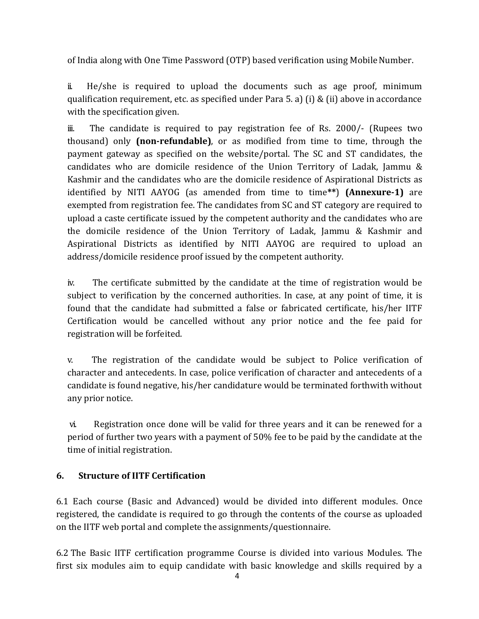of India along with One Time Password (OTP) based verification using Mobile Number.

ii. He/she is required to upload the documents such as age proof, minimum qualification requirement, etc. as specified under Para 5. a) (i) & (ii) above in accordance with the specification given.

iii. The candidate is required to pay registration fee of Rs. 2000/- (Rupees two thousand) only **(non-refundable)**, or as modified from time to time, through the payment gateway as specified on the website/portal. The SC and ST candidates, the candidates who are domicile residence of the Union Territory of Ladak, Jammu & Kashmir and the candidates who are the domicile residence of Aspirational Districts as identified by NITI AAYOG (as amended from time to time**\*\***) **(Annexure-1)** are exempted from registration fee. The candidates from SC and ST category are required to upload a caste certificate issued by the competent authority and the candidates who are the domicile residence of the Union Territory of Ladak, Jammu & Kashmir and Aspirational Districts as identified by NITI AAYOG are required to upload an address/domicile residence proof issued by the competent authority.

iv. The certificate submitted by the candidate at the time of registration would be subject to verification by the concerned authorities. In case, at any point of time, it is found that the candidate had submitted a false or fabricated certificate, his/her IITF Certification would be cancelled without any prior notice and the fee paid for registration will be forfeited.

v. The registration of the candidate would be subject to Police verification of character and antecedents. In case, police verification of character and antecedents of a candidate is found negative, his/her candidature would be terminated forthwith without any prior notice.

vi. Registration once done will be valid for three years and it can be renewed for a period of further two years with a payment of 50% fee to be paid by the candidate at the time of initial registration.

#### **6. Structure of IITF Certification**

6.1 Each course (Basic and Advanced) would be divided into different modules. Once registered, the candidate is required to go through the contents of the course as uploaded on the IITF web portal and complete the assignments/questionnaire.

6.2 The Basic IITF certification programme Course is divided into various Modules. The first six modules aim to equip candidate with basic knowledge and skills required by a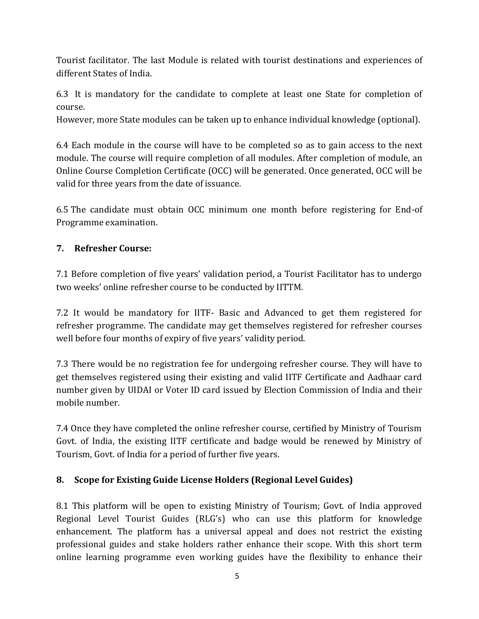Tourist facilitator. The last Module is related with tourist destinations and experiences of different States of India.

6.3 It is mandatory for the candidate to complete at least one State for completion of course.

However, more State modules can be taken up to enhance individual knowledge (optional).

6.4 Each module in the course will have to be completed so as to gain access to the next module. The course will require completion of all modules. After completion of module, an Online Course Completion Certificate (OCC) will be generated. Once generated, OCC will be valid for three years from the date of issuance.

6.5 The candidate must obtain OCC minimum one month before registering for End-of Programme examination.

### **7. Refresher Course:**

7.1 Before completion of five years' validation period, a Tourist Facilitator has to undergo two weeks' online refresher course to be conducted by IITTM.

7.2 It would be mandatory for IITF- Basic and Advanced to get them registered for refresher programme. The candidate may get themselves registered for refresher courses well before four months of expiry of five years' validity period.

7.3 There would be no registration fee for undergoing refresher course. They will have to get themselves registered using their existing and valid IITF Certificate and Aadhaar card number given by UIDAI or Voter ID card issued by Election Commission of India and their mobile number.

7.4 Once they have completed the online refresher course, certified by Ministry of Tourism Govt. of India, the existing IITF certificate and badge would be renewed by Ministry of Tourism, Govt. of India for a period of further five years.

## **8. Scope for Existing Guide License Holders (Regional Level Guides)**

8.1 This platform will be open to existing Ministry of Tourism; Govt. of India approved Regional Level Tourist Guides (RLG's) who can use this platform for knowledge enhancement. The platform has a universal appeal and does not restrict the existing professional guides and stake holders rather enhance their scope. With this short term online learning programme even working guides have the flexibility to enhance their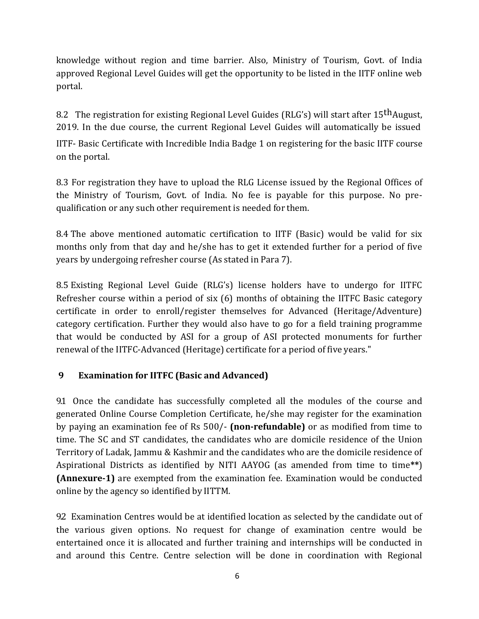knowledge without region and time barrier. Also, Ministry of Tourism, Govt. of India approved Regional Level Guides will get the opportunity to be listed in the IITF online web portal.

8.2 The registration for existing Regional Level Guides (RLG's) will start after 15<sup>th</sup>August, 2019. In the due course, the current Regional Level Guides will automatically be issued

IITF- Basic Certificate with Incredible India Badge 1 on registering for the basic IITF course on the portal.

8.3 For registration they have to upload the RLG License issued by the Regional Offices of the Ministry of Tourism, Govt. of India. No fee is payable for this purpose. No prequalification or any such other requirement is needed for them.

8.4 The above mentioned automatic certification to IITF (Basic) would be valid for six months only from that day and he/she has to get it extended further for a period of five years by undergoing refresher course (As stated in Para 7).

8.5 Existing Regional Level Guide (RLG's) license holders have to undergo for IITFC Refresher course within a period of six (6) months of obtaining the IITFC Basic category certificate in order to enroll/register themselves for Advanced (Heritage/Adventure) category certification. Further they would also have to go for a field training programme that would be conducted by ASI for a group of ASI protected monuments for further renewal of the IITFC-Advanced (Heritage) certificate for a period of five years."

#### **9 Examination for IITFC (Basic and Advanced)**

9.1 Once the candidate has successfully completed all the modules of the course and generated Online Course Completion Certificate, he/she may register for the examination by paying an examination fee of Rs 500/- **(non-refundable)** or as modified from time to time. The SC and ST candidates, the candidates who are domicile residence of the Union Territory of Ladak, Jammu & Kashmir and the candidates who are the domicile residence of Aspirational Districts as identified by NITI AAYOG (as amended from time to time**\*\***) **(Annexure-1)** are exempted from the examination fee. Examination would be conducted online by the agency so identified by IITTM.

9.2 Examination Centres would be at identified location as selected by the candidate out of the various given options. No request for change of examination centre would be entertained once it is allocated and further training and internships will be conducted in and around this Centre. Centre selection will be done in coordination with Regional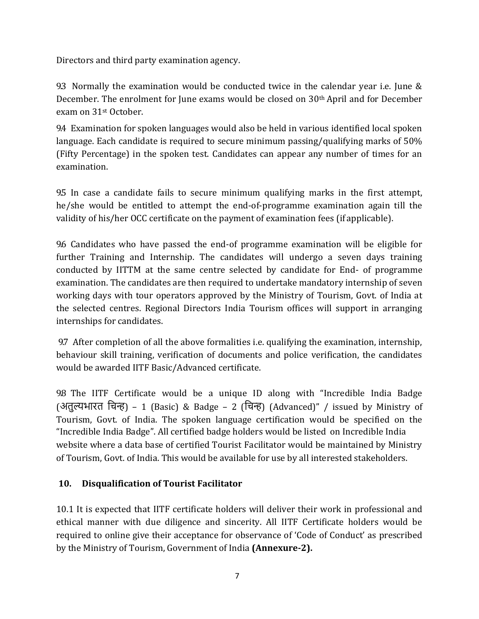Directors and third party examination agency.

9.3 Normally the examination would be conducted twice in the calendar year i.e. June & December. The enrolment for June exams would be closed on 30th April and for December exam on 31st October.

9.4 Examination for spoken languages would also be held in various identified local spoken language. Each candidate is required to secure minimum passing/qualifying marks of 50% (Fifty Percentage) in the spoken test. Candidates can appear any number of times for an examination.

9.5 In case a candidate fails to secure minimum qualifying marks in the first attempt, he/she would be entitled to attempt the end-of-programme examination again till the validity of his/her OCC certificate on the payment of examination fees (if applicable).

9.6 Candidates who have passed the end-of programme examination will be eligible for further Training and Internship. The candidates will undergo a seven days training conducted by IITTM at the same centre selected by candidate for End- of programme examination. The candidates are then required to undertake mandatory internship of seven working days with tour operators approved by the Ministry of Tourism, Govt. of India at the selected centres. Regional Directors India Tourism offices will support in arranging internships for candidates.

9.7 After completion of all the above formalities i.e. qualifying the examination, internship, behaviour skill training, verification of documents and police verification, the candidates would be awarded IITF Basic/Advanced certificate.

9.8 The IITF Certificate would be a unique ID along with "Incredible India Badge (अतुल्यभारत चिन्ह) – 1 (Basic) & Badge – 2 (चिन्ह) (Advanced)" / issued by Ministry of Tourism, Govt. of India. The spoken language certification would be specified on the "Incredible India Badge". All certified badge holders would be listed on Incredible India website where a data base of certified Tourist Facilitator would be maintained by Ministry of Tourism, Govt. of India. This would be available for use by all interested stakeholders.

## **10. Disqualification of Tourist Facilitator**

10.1 It is expected that IITF certificate holders will deliver their work in professional and ethical manner with due diligence and sincerity. All IITF Certificate holders would be required to online give their acceptance for observance of 'Code of Conduct' as prescribed by the Ministry of Tourism, Government of India **(Annexure-2).**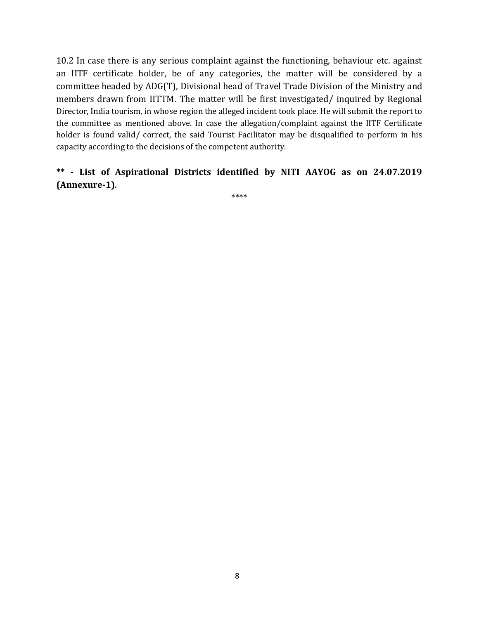10.2 In case there is any serious complaint against the functioning, behaviour etc. against an IITF certificate holder, be of any categories, the matter will be considered by a committee headed by ADG(T), Divisional head of Travel Trade Division of the Ministry and members drawn from IITTM. The matter will be first investigated/ inquired by Regional Director, India tourism, in whose region the alleged incident took place. He will submit the report to the committee as mentioned above. In case the allegation/complaint against the IITF Certificate holder is found valid/ correct, the said Tourist Facilitator may be disqualified to perform in his capacity according to the decisions of the competent authority.

### **\*\* - List of Aspirational Districts identified by NITI AAYOG as on 24.07.2019 (Annexure-1)**.

\*\*\*\*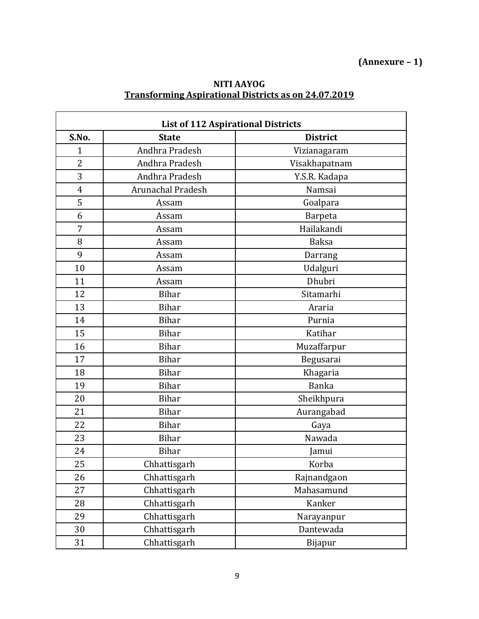## **(Annexure – 1)**

#### **NITI AAYOG Transforming Aspirational Districts as on 24.07.2019**

| <b>List of 112 Aspirational Districts</b> |                          |                 |  |  |
|-------------------------------------------|--------------------------|-----------------|--|--|
| S.No.                                     | <b>State</b>             | <b>District</b> |  |  |
| 1                                         | Andhra Pradesh           | Vizianagaram    |  |  |
| $\overline{2}$                            | Andhra Pradesh           | Visakhapatnam   |  |  |
| 3                                         | Andhra Pradesh           | Y.S.R. Kadapa   |  |  |
| $\overline{4}$                            | <b>Arunachal Pradesh</b> | Namsai          |  |  |
| 5                                         | Assam                    | Goalpara        |  |  |
| 6                                         | Assam                    | <b>Barpeta</b>  |  |  |
| 7                                         | Assam                    | Hailakandi      |  |  |
| 8                                         | Assam                    | <b>Baksa</b>    |  |  |
| 9                                         | Assam                    | Darrang         |  |  |
| 10                                        | Assam                    | Udalguri        |  |  |
| 11                                        | Assam                    | Dhubri          |  |  |
| 12                                        | <b>Bihar</b>             | Sitamarhi       |  |  |
| 13                                        | <b>Bihar</b>             | Araria          |  |  |
| 14                                        | <b>Bihar</b>             | Purnia          |  |  |
| 15                                        | <b>Bihar</b>             | Katihar         |  |  |
| 16                                        | <b>Bihar</b>             | Muzaffarpur     |  |  |
| 17                                        | <b>Bihar</b>             | Begusarai       |  |  |
| 18                                        | <b>Bihar</b>             | Khagaria        |  |  |
| 19                                        | <b>Bihar</b>             | <b>Banka</b>    |  |  |
| 20                                        | <b>Bihar</b>             | Sheikhpura      |  |  |
| 21                                        | <b>Bihar</b>             | Aurangabad      |  |  |
| 22                                        | <b>Bihar</b>             | Gaya            |  |  |
| 23                                        | <b>Bihar</b>             | Nawada          |  |  |
| 24                                        | <b>Bihar</b>             | Jamui           |  |  |
| 25                                        | Chhattisgarh             | Korba           |  |  |
| 26                                        | Chhattisgarh             | Rajnandgaon     |  |  |
| 27                                        | Chhattisgarh             | Mahasamund      |  |  |
| 28                                        | Chhattisgarh             | Kanker          |  |  |
| 29                                        | Chhattisgarh             | Narayanpur      |  |  |
| 30                                        | Chhattisgarh             | Dantewada       |  |  |
| 31                                        | Chhattisgarh             | Bijapur         |  |  |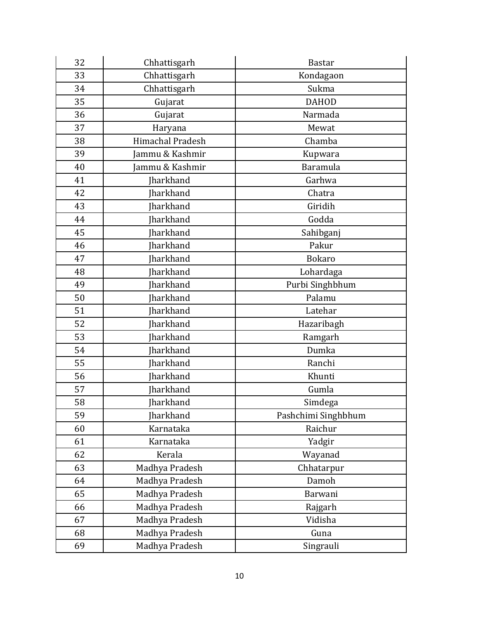| 32 | Chhattisgarh            | <b>Bastar</b>       |
|----|-------------------------|---------------------|
| 33 | Chhattisgarh            | Kondagaon           |
| 34 | Chhattisgarh            | Sukma               |
| 35 | Gujarat                 | <b>DAHOD</b>        |
| 36 | Gujarat                 | Narmada             |
| 37 | Haryana                 | Mewat               |
| 38 | <b>Himachal Pradesh</b> | Chamba              |
| 39 | Jammu & Kashmir         | Kupwara             |
| 40 | Jammu & Kashmir         | Baramula            |
| 41 | Jharkhand               | Garhwa              |
| 42 | Jharkhand               | Chatra              |
| 43 | <b>Iharkhand</b>        | Giridih             |
| 44 | Jharkhand               | Godda               |
| 45 | Jharkhand               | Sahibganj           |
| 46 | Jharkhand               | Pakur               |
| 47 | Jharkhand               | <b>Bokaro</b>       |
| 48 | Jharkhand               | Lohardaga           |
| 49 | Jharkhand               | Purbi Singhbhum     |
| 50 | <b>Iharkhand</b>        | Palamu              |
| 51 | Jharkhand               | Latehar             |
| 52 | <b>Iharkhand</b>        | Hazaribagh          |
| 53 | Jharkhand               | Ramgarh             |
| 54 | Jharkhand               | Dumka               |
| 55 | <b>Iharkhand</b>        | Ranchi              |
| 56 | <b>Iharkhand</b>        | Khunti              |
| 57 | Jharkhand               | Gumla               |
| 58 | <b>Iharkhand</b>        | Simdega             |
| 59 | Jharkhand               | Pashchimi Singhbhum |
| 60 | Karnataka               | Raichur             |
| 61 | Karnataka               | Yadgir              |
| 62 | Kerala                  | Wayanad             |
| 63 | Madhya Pradesh          | Chhatarpur          |
| 64 | Madhya Pradesh          | Damoh               |
| 65 | Madhya Pradesh          | Barwani             |
| 66 | Madhya Pradesh          | Rajgarh             |
| 67 | Madhya Pradesh          | Vidisha             |
| 68 | Madhya Pradesh          | Guna                |
| 69 | Madhya Pradesh          | Singrauli           |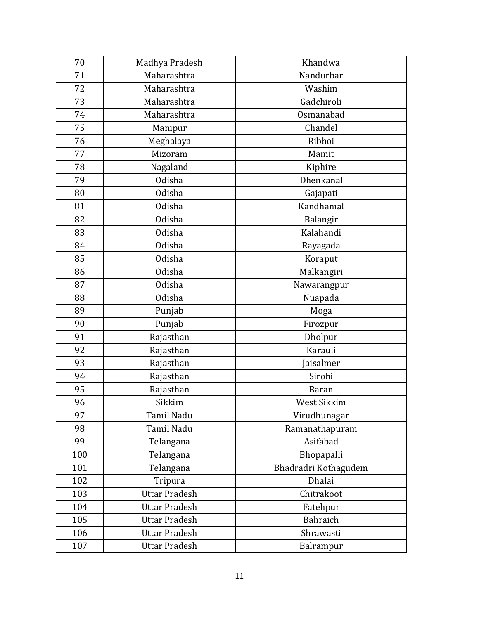| 70  | Madhya Pradesh       | Khandwa              |
|-----|----------------------|----------------------|
| 71  | Maharashtra          | Nandurbar            |
| 72  | Maharashtra          | Washim               |
| 73  | Maharashtra          | Gadchiroli           |
| 74  | Maharashtra          | Osmanabad            |
| 75  | Manipur              | Chandel              |
| 76  | Meghalaya            | Ribhoi               |
| 77  | Mizoram              | Mamit                |
| 78  | Nagaland             | Kiphire              |
| 79  | Odisha               | Dhenkanal            |
| 80  | Odisha               | Gajapati             |
| 81  | <b>Odisha</b>        | Kandhamal            |
| 82  | Odisha               | Balangir             |
| 83  | Odisha               | Kalahandi            |
| 84  | Odisha               | Rayagada             |
| 85  | Odisha               | Koraput              |
| 86  | Odisha               | Malkangiri           |
| 87  | Odisha               | Nawarangpur          |
| 88  | Odisha               | Nuapada              |
| 89  | Punjab               | Moga                 |
| 90  | Punjab               | Firozpur             |
| 91  | Rajasthan            | Dholpur              |
| 92  | Rajasthan            | Karauli              |
| 93  | Rajasthan            | Jaisalmer            |
| 94  | Rajasthan            | Sirohi               |
| 95  | Rajasthan            | <b>Baran</b>         |
| 96  | Sikkim               | West Sikkim          |
| 97  | Tamil Nadu           | Virudhunagar         |
| 98  | Tamil Nadu           | Ramanathapuram       |
| 99  | Telangana            | Asifabad             |
| 100 | Telangana            | Bhopapalli           |
| 101 | Telangana            | Bhadradri Kothagudem |
| 102 | Tripura              | Dhalai               |
| 103 | <b>Uttar Pradesh</b> | Chitrakoot           |
| 104 | <b>Uttar Pradesh</b> | Fatehpur             |
| 105 | <b>Uttar Pradesh</b> | Bahraich             |
| 106 | <b>Uttar Pradesh</b> | Shrawasti            |
| 107 | <b>Uttar Pradesh</b> | Balrampur            |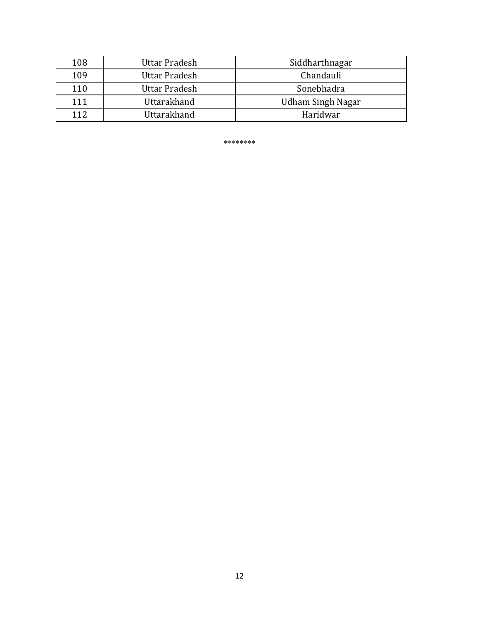| 108 | Uttar Pradesh | Siddharthnagar    |
|-----|---------------|-------------------|
| 109 | Uttar Pradesh | Chandauli         |
| 110 | Uttar Pradesh | Sonebhadra        |
| 111 | Uttarakhand   | Udham Singh Nagar |
| 112 | Uttarakhand   | Haridwar          |

\*\*\*\*\*\*\*\*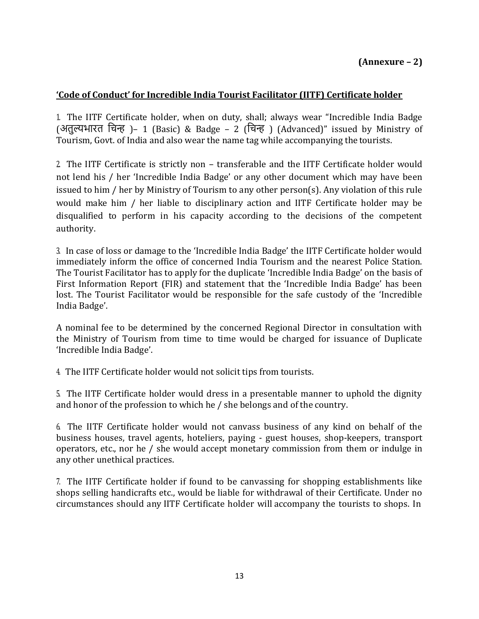### **'Code of Conduct' for Incredible India Tourist Facilitator (IITF) Certificate holder**

1. The IITF Certificate holder, when on duty, shall; always wear "Incredible India Badge (अतुल्यभारत चिन्ह )– 1 (Basic) & Badge – 2 (चिन्ह ) (Advanced)" issued by Ministry of Tourism, Govt. of India and also wear the name tag while accompanying the tourists.

2. The IITF Certificate is strictly non – transferable and the IITF Certificate holder would not lend his / her 'Incredible India Badge' or any other document which may have been issued to him / her by Ministry of Tourism to any other person(s). Any violation of this rule would make him / her liable to disciplinary action and IITF Certificate holder may be disqualified to perform in his capacity according to the decisions of the competent authority.

3. In case of loss or damage to the 'Incredible India Badge' the IITF Certificate holder would immediately inform the office of concerned India Tourism and the nearest Police Station. The Tourist Facilitator has to apply for the duplicate 'Incredible India Badge' on the basis of First Information Report (FIR) and statement that the 'Incredible India Badge' has been lost. The Tourist Facilitator would be responsible for the safe custody of the 'Incredible India Badge'.

A nominal fee to be determined by the concerned Regional Director in consultation with the Ministry of Tourism from time to time would be charged for issuance of Duplicate 'Incredible India Badge'.

4. The IITF Certificate holder would not solicit tips from tourists.

5. The IITF Certificate holder would dress in a presentable manner to uphold the dignity and honor of the profession to which he / she belongs and of the country.

6. The IITF Certificate holder would not canvass business of any kind on behalf of the business houses, travel agents, hoteliers, paying - guest houses, shop-keepers, transport operators, etc., nor he / she would accept monetary commission from them or indulge in any other unethical practices.

7. The IITF Certificate holder if found to be canvassing for shopping establishments like shops selling handicrafts etc., would be liable for withdrawal of their Certificate. Under no circumstances should any IITF Certificate holder will accompany the tourists to shops. In